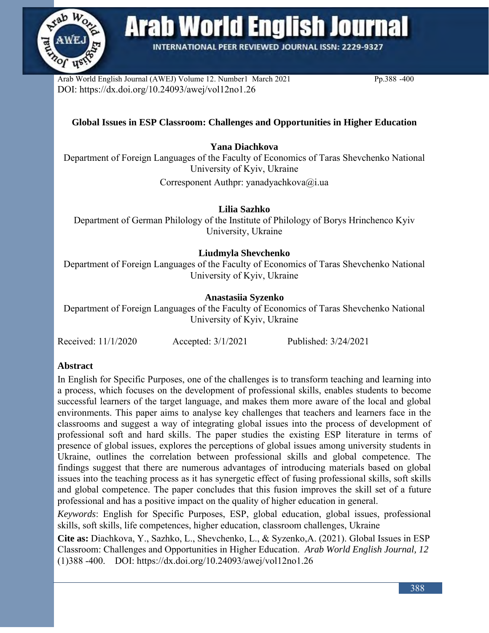

**Arab World English Journal** 

**INTERNATIONAL PEER REVIEWED JOURNAL ISSN: 2229-9327** 

Arab World English Journal (AWEJ) Volume 12. Number1 March 2021 Pp.388 -400 DOI: https://dx.doi.org/10.24093/awej/vol12no1.26

# **Global Issues in ESP Classroom: Challenges and Opportunities in Higher Education**

## **Yana Diachkova**

Department of Foreign Languages of the Faculty of Economics of Taras Shevchenko National University of Kyiv, Ukraine

Corresponent Authpr: yanadyachkova@i.ua

**Lilia Sazhko**

Department of German Philology of the Institute of Philology of Borys Hrinchenco Kyiv University, Ukraine

## **Liudmyla Shevchenko**

Department of Foreign Languages of the Faculty of Economics of Taras Shevchenko National University of Kyiv, Ukraine

## **Anastasiia Syzenko**

Department of Foreign Languages of the Faculty of Economics of Taras Shevchenko National University of Kyiv, Ukraine

| Received: 11/1/2020 | Accepted: 3/1/2021 | Published: 3/24/2021 |
|---------------------|--------------------|----------------------|
|---------------------|--------------------|----------------------|

# **Abstract**

In English for Specific Purposes, one of the challenges is to transform teaching and learning into a process, which focuses on the development of professional skills, enables students to become successful learners of the target language, and makes them more aware of the local and global environments. This paper aims to analyse key challenges that teachers and learners face in the classrooms and suggest a way of integrating global issues into the process of development of professional soft and hard skills. The paper studies the existing ESP literature in terms of presence of global issues, explores the perceptions of global issues among university students in Ukraine, outlines the correlation between professional skills and global competence. The findings suggest that there are numerous advantages of introducing materials based on global issues into the teaching process as it has synergetic effect of fusing professional skills, soft skills and global competence. The paper concludes that this fusion improves the skill set of a future professional and has a positive impact on the quality of higher education in general.

*Keywords*: English for Specific Purposes, ESP, global education, global issues, professional skills, soft skills, life competences, higher education, classroom challenges, Ukraine

**Cite as:** Diachkova, Y., Sazhko, L., Shevchenko, L., & Syzenko,A. (2021). Global Issues in ESP Classroom: Challenges and Opportunities in Higher Education. *Arab World English Journal, 12* (1)388 -400. DOI: https://dx.doi.org/10.24093/awej/vol12no1.26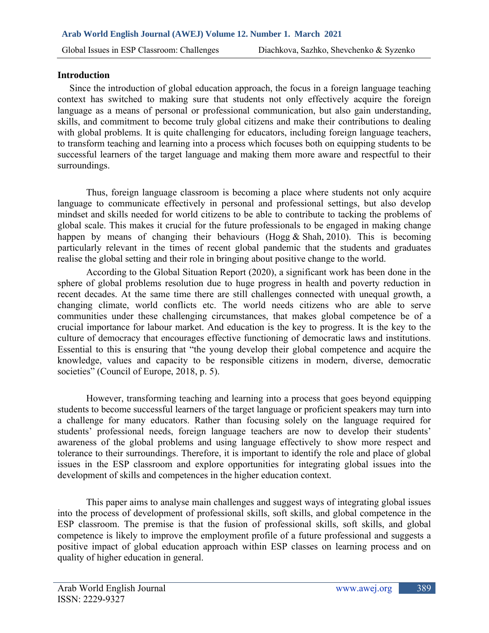#### **Introduction**

 Since the introduction of global education approach, the focus in a foreign language teaching context has switched to making sure that students not only effectively acquire the foreign language as a means of personal or professional communication, but also gain understanding, skills, and commitment to become truly global citizens and make their contributions to dealing with global problems. It is quite challenging for educators, including foreign language teachers, to transform teaching and learning into a process which focuses both on equipping students to be successful learners of the target language and making them more aware and respectful to their surroundings.

Thus, foreign language classroom is becoming a place where students not only acquire language to communicate effectively in personal and professional settings, but also develop mindset and skills needed for world citizens to be able to contribute to tacking the problems of global scale. This makes it crucial for the future professionals to be engaged in making change happen by means of changing their behaviours (Hogg  $&$  Shah, 2010). This is becoming particularly relevant in the times of recent global pandemic that the students and graduates realise the global setting and their role in bringing about positive change to the world.

According to the Global Situation Report (2020), a significant work has been done in the sphere of global problems resolution due to huge progress in health and poverty reduction in recent decades. At the same time there are still challenges connected with unequal growth, a changing climate, world conflicts etc. The world needs citizens who are able to serve communities under these challenging circumstances, that makes global competence be of a crucial importance for labour market. And education is the key to progress. It is the key to the culture of democracy that encourages effective functioning of democratic laws and institutions. Essential to this is ensuring that "the young develop their global competence and acquire the knowledge, values and capacity to be responsible citizens in modern, diverse, democratic societies" (Council of Europe, 2018, p. 5).

 However, transforming teaching and learning into a process that goes beyond equipping students to become successful learners of the target language or proficient speakers may turn into a challenge for many educators. Rather than focusing solely on the language required for students' professional needs, foreign language teachers are now to develop their students' awareness of the global problems and using language effectively to show more respect and tolerance to their surroundings. Therefore, it is important to identify the role and place of global issues in the ESP classroom and explore opportunities for integrating global issues into the development of skills and competences in the higher education context.

This paper aims to analyse main challenges and suggest ways of integrating global issues into the process of development of professional skills, soft skills, and global competence in the ESP classroom. The premise is that the fusion of professional skills, soft skills, and global competence is likely to improve the employment profile of a future professional and suggests a positive impact of global education approach within ESP classes on learning process and on quality of higher education in general.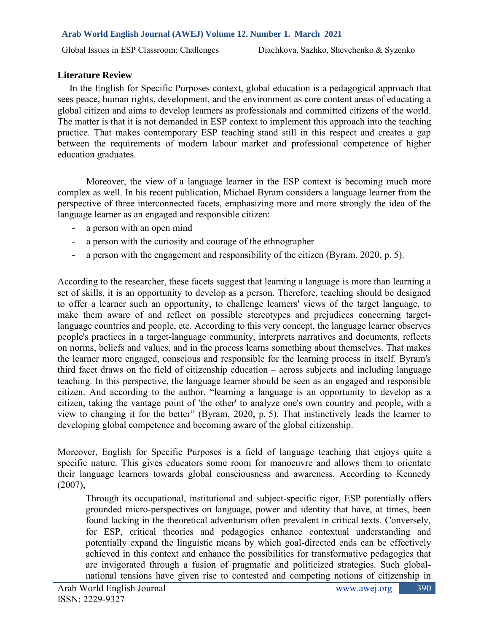#### **Literature Review**

 In the English for Specific Purposes context, global education is a pedagogical approach that sees peace, human rights, development, and the environment as core content areas of educating a global citizen and aims to develop learners as professionals and committed citizens of the world. The matter is that it is not demanded in ESP context to implement this approach into the teaching practice. That makes contemporary ESP teaching stand still in this respect and creates a gap between the requirements of modern labour market and professional competence of higher education graduates.

 Moreover, the view of a language learner in the ESP context is becoming much more complex as well. In his recent publication, Michael Byram considers a language learner from the perspective of three interconnected facets, emphasizing more and more strongly the idea of the language learner as an engaged and responsible citizen:

- a person with an open mind
- a person with the curiosity and courage of the ethnographer
- a person with the engagement and responsibility of the citizen (Byram, 2020, p. 5).

According to the researcher, these facets suggest that learning a language is more than learning a set of skills, it is an opportunity to develop as a person. Therefore, teaching should be designed to offer a learner such an opportunity, to challenge learners' views of the target language, to make them aware of and reflect on possible stereotypes and prejudices concerning targetlanguage countries and people, etc. According to this very concept, the language learner observes people's practices in a target-language community, interprets narratives and documents, reflects on norms, beliefs and values, and in the process learns something about themselves. That makes the learner more engaged, conscious and responsible for the learning process in itself. Byram's third facet draws on the field of citizenship education – across subjects and including language teaching. In this perspective, the language learner should be seen as an engaged and responsible citizen. And according to the author, "learning a language is an opportunity to develop as a citizen, taking the vantage point of 'the other' to analyze one's own country and people, with a view to changing it for the better" (Byram, 2020, p. 5). That instinctively leads the learner to developing global competence and becoming aware of the global citizenship.

Moreover, English for Specific Purposes is a field of language teaching that enjoys quite a specific nature. This gives educators some room for manoeuvre and allows them to orientate their language learners towards global consciousness and awareness. According to Kennedy  $(2007)$ ,

Through its occupational, institutional and subject-specific rigor, ESP potentially offers grounded micro-perspectives on language, power and identity that have, at times, been found lacking in the theoretical adventurism often prevalent in critical texts. Conversely, for ESP, critical theories and pedagogies enhance contextual understanding and potentially expand the linguistic means by which goal-directed ends can be effectively achieved in this context and enhance the possibilities for transformative pedagogies that are invigorated through a fusion of pragmatic and politicized strategies. Such globalnational tensions have given rise to contested and competing notions of citizenship in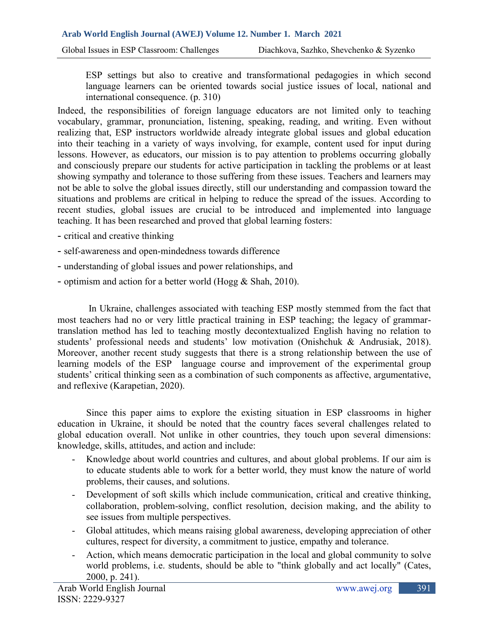Global Issues in ESP Classroom: Challenges Diachkova, Sazhko, Shevchenko & Syzenko

ESP settings but also to creative and transformational pedagogies in which second language learners can be oriented towards social justice issues of local, national and international consequence. (p. 310)

Indeed, the responsibilities of foreign language educators are not limited only to teaching vocabulary, grammar, pronunciation, listening, speaking, reading, and writing. Even without realizing that, ESP instructors worldwide already integrate global issues and global education into their teaching in a variety of ways involving, for example, content used for input during lessons. However, as educators, our mission is to pay attention to problems occurring globally and consciously prepare our students for active participation in tackling the problems or at least showing sympathy and tolerance to those suffering from these issues. Teachers and learners may not be able to solve the global issues directly, still our understanding and compassion toward the situations and problems are critical in helping to reduce the spread of the issues. According to recent studies, global issues are crucial to be introduced and implemented into language teaching. It has been researched and proved that global learning fosters:

- critical and creative thinking
- self-awareness and open-mindedness towards difference
- understanding of global issues and power relationships, and
- optimism and action for a better world (Hogg & Shah, 2010).

 In Ukraine, challenges associated with teaching ESP mostly stemmed from the fact that most teachers had no or very little practical training in ESP teaching; the legacy of grammartranslation method has led to teaching mostly decontextualized English having no relation to students' professional needs and students' low motivation (Onishchuk & Andrusiak, 2018). Moreover, another recent study suggests that there is a strong relationship between the use of learning models of the ESP language course and improvement of the experimental group students' critical thinking seen as a combination of such components as affective, argumentative, and reflexive (Karapetian, 2020).

 Since this paper aims to explore the existing situation in ESP classrooms in higher education in Ukraine, it should be noted that the country faces several challenges related to global education overall. Not unlike in other countries, they touch upon several dimensions: knowledge, skills, attitudes, and action and include:

- Knowledge about world countries and cultures, and about global problems. If our aim is to educate students able to work for a better world, they must know the nature of world problems, their causes, and solutions.
- Development of soft skills which include communication, critical and creative thinking, collaboration, problem-solving, conflict resolution, decision making, and the ability to see issues from multiple perspectives.
- Global attitudes, which means raising global awareness, developing appreciation of other cultures, respect for diversity, a commitment to justice, empathy and tolerance.
- Action, which means democratic participation in the local and global community to solve world problems, i.e. students, should be able to "think globally and act locally" (Cates, 2000, p. 241).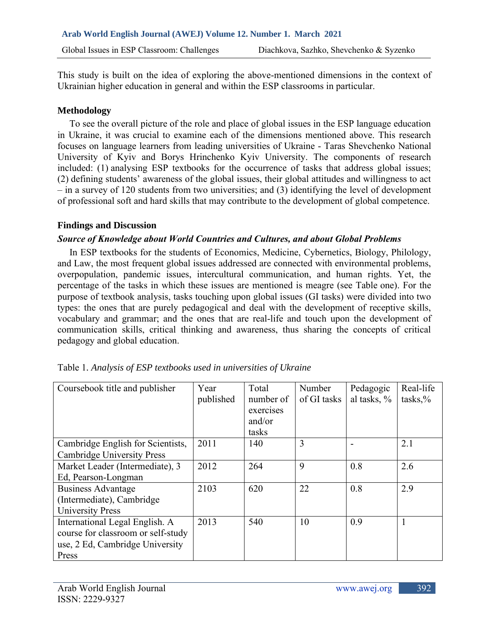This study is built on the idea of exploring the above-mentioned dimensions in the context of Ukrainian higher education in general and within the ESP classrooms in particular.

### **Methodology**

 To see the overall picture of the role and place of global issues in the ESP language education in Ukraine, it was crucial to examine each of the dimensions mentioned above. This research focuses on language learners from leading universities of Ukraine - Taras Shevchenko National University of Kyiv and Borys Hrinchenko Kyiv University. The components of research included: (1) analysing ESP textbooks for the occurrence of tasks that address global issues; (2) defining students' awareness of the global issues, their global attitudes and willingness to act – in a survey of 120 students from two universities; and (3) identifying the level of development of professional soft and hard skills that may contribute to the development of global competence.

#### **Findings and Discussion**

## *Source of Knowledge about World Countries and Cultures, and about Global Problems*

 In ESP textbooks for the students of Economics, Medicine, Cybernetics, Biology, Philology, and Law, the most frequent global issues addressed are connected with environmental problems, overpopulation, pandemic issues, intercultural communication, and human rights. Yet, the percentage of the tasks in which these issues are mentioned is meagre (see Table one). For the purpose of textbook analysis, tasks touching upon global issues (GI tasks) were divided into two types: the ones that are purely pedagogical and deal with the development of receptive skills, vocabulary and grammar; and the ones that are real-life and touch upon the development of communication skills, critical thinking and awareness, thus sharing the concepts of critical pedagogy and global education.

| Coursebook title and publisher                                                                                   | Year<br>published | Total<br>number of<br>exercises<br>and/or<br>tasks | Number<br>of GI tasks | Pedagogic<br>al tasks, % | Real-life<br>$tasks, \%$ |
|------------------------------------------------------------------------------------------------------------------|-------------------|----------------------------------------------------|-----------------------|--------------------------|--------------------------|
| Cambridge English for Scientists,<br><b>Cambridge University Press</b>                                           | 2011              | 140                                                | 3                     |                          | 2.1                      |
| Market Leader (Intermediate), 3<br>Ed, Pearson-Longman                                                           | 2012              | 264                                                | 9                     | 0.8                      | 2.6                      |
| <b>Business Advantage</b><br>(Intermediate), Cambridge<br><b>University Press</b>                                | 2103              | 620                                                | 22                    | 0.8                      | 2.9                      |
| International Legal English. A<br>course for classroom or self-study<br>use, 2 Ed, Cambridge University<br>Press | 2013              | 540                                                | 10                    | 0.9                      |                          |

| Table 1. Analysis of ESP textbooks used in universities of Ukraine |
|--------------------------------------------------------------------|
|--------------------------------------------------------------------|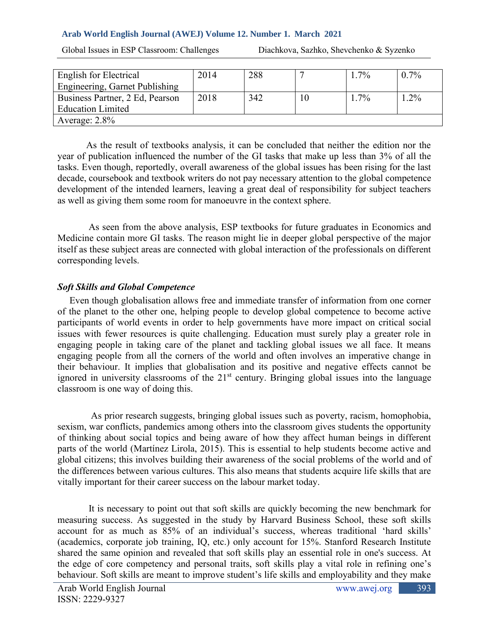#### **Arab World English Journal (AWEJ) Volume 12. Number 1. March 2021**

Global Issues in ESP Classroom: Challenges Diachkova, Sazhko, Shevchenko & Syzenko

| English for Electrical          | 2014 | 288 |    | $.7\%$  | $0.7\%$ |
|---------------------------------|------|-----|----|---------|---------|
| Engineering, Garnet Publishing  |      |     |    |         |         |
| Business Partner, 2 Ed, Pearson | 2018 | 342 | 10 | $1.7\%$ | $.2\%$  |
| <b>Education Limited</b>        |      |     |    |         |         |
| Average: $2.8\%$                |      |     |    |         |         |

 As the result of textbooks analysis, it can be concluded that neither the edition nor the year of publication influenced the number of the GI tasks that make up less than 3% of all the tasks. Even though, reportedly, overall awareness of the global issues has been rising for the last decade, coursebook and textbook writers do not pay necessary attention to the global competence development of the intended learners, leaving a great deal of responsibility for subject teachers as well as giving them some room for manoeuvre in the context sphere.

As seen from the above analysis, ESP textbooks for future graduates in Economics and Medicine contain more GI tasks. The reason might lie in deeper global perspective of the major itself as these subject areas are connected with global interaction of the professionals on different corresponding levels.

#### *Soft Skills and Global Competence*

 Even though globalisation allows free and immediate transfer of information from one corner of the planet to the other one, helping people to develop global competence to become active participants of world events in order to help governments have more impact on critical social issues with fewer resources is quite challenging. Education must surely play a greater role in engaging people in taking care of the planet and tackling global issues we all face. It means engaging people from all the corners of the world and often involves an imperative change in their behaviour. It implies that globalisation and its positive and negative effects cannot be ignored in university classrooms of the 21<sup>st</sup> century. Bringing global issues into the language classroom is one way of doing this.

 As prior research suggests, bringing global issues such as poverty, racism, homophobia, sexism, war conflicts, pandemics among others into the classroom gives students the opportunity of thinking about social topics and being aware of how they affect human beings in different parts of the world (Martínez Lirola, 2015). This is essential to help students become active and global citizens; this involves building their awareness of the social problems of the world and of the differences between various cultures. This also means that students acquire life skills that are vitally important for their career success on the labour market today.

It is necessary to point out that soft skills are quickly becoming the new benchmark for measuring success. As suggested in the study by Harvard Business School, these soft skills account for as much as 85% of an individual's success, whereas traditional 'hard skills' (academics, corporate job training, IQ, etc.) only account for 15%. Stanford Research Institute shared the same opinion and revealed that soft skills play an essential role in one's success. At the edge of core competency and personal traits, soft skills play a vital role in refining one's behaviour. Soft skills are meant to improve student's life skills and employability and they make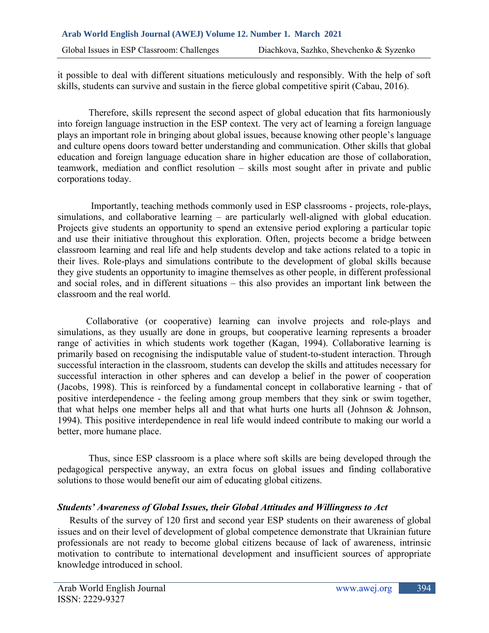it possible to deal with different situations meticulously and responsibly. With the help of soft skills, students can survive and sustain in the fierce global competitive spirit (Cabau, 2016).

Therefore, skills represent the second aspect of global education that fits harmoniously into foreign language instruction in the ESP context. The very act of learning a foreign language plays an important role in bringing about global issues, because knowing other people's language and culture opens doors toward better understanding and communication. Other skills that global education and foreign language education share in higher education are those of collaboration, teamwork, mediation and conflict resolution – skills most sought after in private and public corporations today.

 Importantly, teaching methods commonly used in ESP classrooms - projects, role-plays, simulations, and collaborative learning – are particularly well-aligned with global education. Projects give students an opportunity to spend an extensive period exploring a particular topic and use their initiative throughout this exploration. Often, projects become a bridge between classroom learning and real life and help students develop and take actions related to a topic in their lives. Role-plays and simulations contribute to the development of global skills because they give students an opportunity to imagine themselves as other people, in different professional and social roles, and in different situations – this also provides an important link between the classroom and the real world.

Collaborative (or cooperative) learning can involve projects and role-plays and simulations, as they usually are done in groups, but cooperative learning represents a broader range of activities in which students work together (Kagan, 1994). Collaborative learning is primarily based on recognising the indisputable value of student-to-student interaction. Through successful interaction in the classroom, students can develop the skills and attitudes necessary for successful interaction in other spheres and can develop a belief in the power of cooperation (Jacobs, 1998). This is reinforced by a fundamental concept in collaborative learning - that of positive interdependence - the feeling among group members that they sink or swim together, that what helps one member helps all and that what hurts one hurts all (Johnson & Johnson, 1994). This positive interdependence in real life would indeed contribute to making our world a better, more humane place.

Thus, since ESP classroom is a place where soft skills are being developed through the pedagogical perspective anyway, an extra focus on global issues and finding collaborative solutions to those would benefit our aim of educating global citizens.

# *Students' Awareness of Global Issues, their Global Attitudes and Willingness to Act*

 Results of the survey of 120 first and second year ESP students on their awareness of global issues and on their level of development of global competence demonstrate that Ukrainian future professionals are not ready to become global citizens because of lack of awareness, intrinsic motivation to contribute to international development and insufficient sources of appropriate knowledge introduced in school.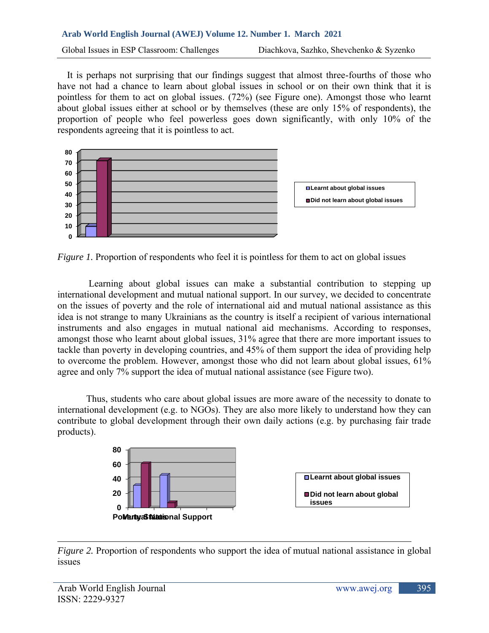# **Arab World English Journal (AWEJ) Volume 12. Number 1. March 2021**

 It is perhaps not surprising that our findings suggest that almost three-fourths of those who have not had a chance to learn about global issues in school or on their own think that it is pointless for them to act on global issues. (72%) (see Figure one). Amongst those who learnt about global issues either at school or by themselves (these are only 15% of respondents), the proportion of people who feel powerless goes down significantly, with only 10% of the respondents agreeing that it is pointless to act.



*Figure 1.* Proportion of respondents who feel it is pointless for them to act on global issues

 Learning about global issues can make a substantial contribution to stepping up international development and mutual national support. In our survey, we decided to concentrate on the issues of poverty and the role of international aid and mutual national assistance as this idea is not strange to many Ukrainians as the country is itself a recipient of various international instruments and also engages in mutual national aid mechanisms. According to responses, amongst those who learnt about global issues, 31% agree that there are more important issues to tackle than poverty in developing countries, and 45% of them support the idea of providing help to overcome the problem. However, amongst those who did not learn about global issues, 61% agree and only 7% support the idea of mutual national assistance (see Figure two).

 Thus, students who care about global issues are more aware of the necessity to donate to international development (e.g. to NGOs). They are also more likely to understand how they can contribute to global development through their own daily actions (e.g. by purchasing fair trade products).



*Figure 2.* Proportion of respondents who support the idea of mutual national assistance in global issues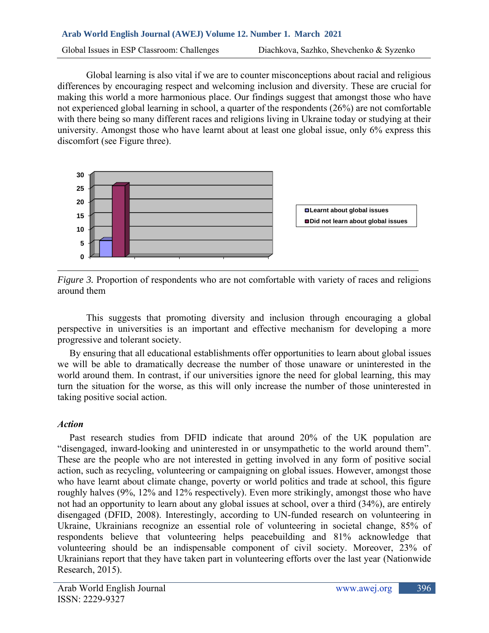Global learning is also vital if we are to counter misconceptions about racial and religious differences by encouraging respect and welcoming inclusion and diversity. These are crucial for making this world a more harmonious place. Our findings suggest that amongst those who have not experienced global learning in school, a quarter of the respondents (26%) are not comfortable with there being so many different races and religions living in Ukraine today or studying at their university. Amongst those who have learnt about at least one global issue, only 6% express this discomfort (see Figure three).





This suggests that promoting diversity and inclusion through encouraging a global perspective in universities is an important and effective mechanism for developing a more progressive and tolerant society.

 By ensuring that all educational establishments offer opportunities to learn about global issues we will be able to dramatically decrease the number of those unaware or uninterested in the world around them. In contrast, if our universities ignore the need for global learning, this may turn the situation for the worse, as this will only increase the number of those uninterested in taking positive social action.

#### *Action*

 Past research studies from DFID indicate that around 20% of the UK population are "disengaged, inward-looking and uninterested in or unsympathetic to the world around them". These are the people who are not interested in getting involved in any form of positive social action, such as recycling, volunteering or campaigning on global issues. However, amongst those who have learnt about climate change, poverty or world politics and trade at school, this figure roughly halves (9%, 12% and 12% respectively). Even more strikingly, amongst those who have not had an opportunity to learn about any global issues at school, over a third (34%), are entirely disengaged (DFID, 2008). Interestingly, according to UN-funded research on volunteering in Ukraine, Ukrainians recognize an essential role of volunteering in societal change, 85% of respondents believe that volunteering helps peacebuilding and 81% acknowledge that volunteering should be an indispensable component of civil society. Moreover, 23% of Ukrainians report that they have taken part in volunteering efforts over the last year (Nationwide Research, 2015).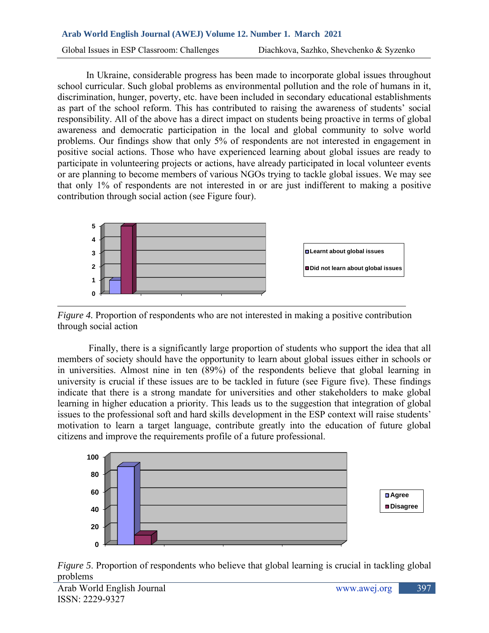# **Arab World English Journal (AWEJ) Volume 12. Number 1. March 2021**  Global Issues in ESP Classroom: Challenges Diachkova, Sazhko, Shevchenko & Syzenko

In Ukraine, considerable progress has been made to incorporate global issues throughout school curricular. Such global problems as environmental pollution and the role of humans in it, discrimination, hunger, poverty, etc. have been included in secondary educational establishments as part of the school reform. This has contributed to raising the awareness of students' social responsibility. All of the above has a direct impact on students being proactive in terms of global awareness and democratic participation in the local and global community to solve world problems. Our findings show that only 5% of respondents are not interested in engagement in positive social actions. Those who have experienced learning about global issues are ready to participate in volunteering projects or actions, have already participated in local volunteer events or are planning to become members of various NGOs trying to tackle global issues. We may see that only 1% of respondents are not interested in or are just indifferent to making a positive contribution through social action (see Figure four).



*Figure 4.* Proportion of respondents who are not interested in making a positive contribution through social action

 Finally, there is a significantly large proportion of students who support the idea that all members of society should have the opportunity to learn about global issues either in schools or in universities. Almost nine in ten (89%) of the respondents believe that global learning in university is crucial if these issues are to be tackled in future (see Figure five). These findings indicate that there is a strong mandate for universities and other stakeholders to make global learning in higher education a priority. This leads us to the suggestion that integration of global issues to the professional soft and hard skills development in the ESP context will raise students' motivation to learn a target language, contribute greatly into the education of future global citizens and improve the requirements profile of a future professional.



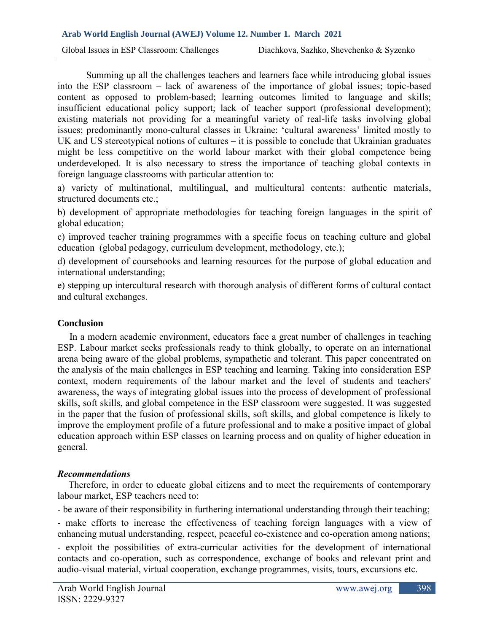Global Issues in ESP Classroom: Challenges Diachkova, Sazhko, Shevchenko & Syzenko

 Summing up all the challenges teachers and learners face while introducing global issues into the ESP classroom – lack of awareness of the importance of global issues; topic-based content as opposed to problem-based; learning outcomes limited to language and skills; insufficient educational policy support; lack of teacher support (professional development); existing materials not providing for a meaningful variety of real-life tasks involving global issues; predominantly mono-cultural classes in Ukraine: 'cultural awareness' limited mostly to UK and US stereotypical notions of cultures – it is possible to conclude that Ukrainian graduates might be less competitive on the world labour market with their global competence being underdeveloped. It is also necessary to stress the importance of teaching global contexts in foreign language classrooms with particular attention to:

a) variety of multinational, multilingual, and multicultural contents: authentic materials, structured documents etc.;

b) development of appropriate methodologies for teaching foreign languages in the spirit of global education;

c) improved teacher training programmes with a specific focus on teaching culture and global education (global pedagogy, curriculum development, methodology, etc.);

d) development of coursebooks and learning resources for the purpose of global education and international understanding;

e) stepping up intercultural research with thorough analysis of different forms of cultural contact and cultural exchanges.

#### **Conclusion**

In a modern academic environment, educators face a great number of challenges in teaching ESP. Labour market seeks professionals ready to think globally, to operate on an international arena being aware of the global problems, sympathetic and tolerant. This paper concentrated on the analysis of the main challenges in ESP teaching and learning. Taking into consideration ESP context, modern requirements of the labour market and the level of students and teachers' awareness, the ways of integrating global issues into the process of development of professional skills, soft skills, and global competence in the ESP classroom were suggested. It was suggested in the paper that the fusion of professional skills, soft skills, and global competence is likely to improve the employment profile of a future professional and to make a positive impact of global education approach within ESP classes on learning process and on quality of higher education in general.

#### *Recommendations*

 Therefore, in order to educate global citizens and to meet the requirements of contemporary labour market, ESP teachers need to:

- be aware of their responsibility in furthering international understanding through their teaching;

- make efforts to increase the effectiveness of teaching foreign languages with a view of enhancing mutual understanding, respect, peaceful co-existence and co-operation among nations; - exploit the possibilities of extra-curricular activities for the development of international contacts and co-operation, such as correspondence, exchange of books and relevant print and audio-visual material, virtual cooperation, exchange programmes, visits, tours, excursions etc.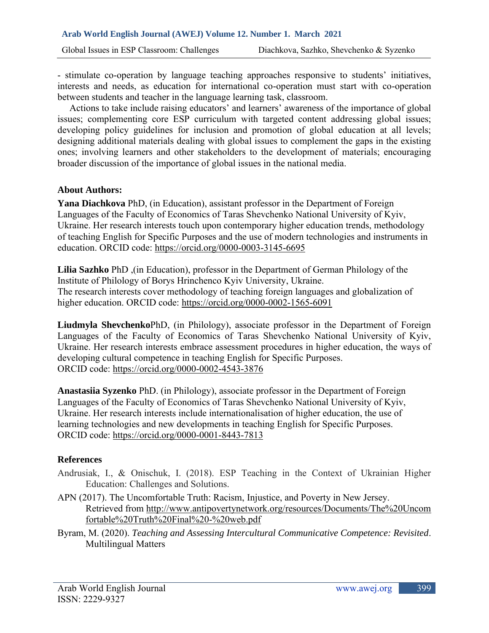- stimulate co-operation by language teaching approaches responsive to students' initiatives, interests and needs, as education for international co-operation must start with co-operation between students and teacher in the language learning task, classroom.

 Actions to take include raising educators' and learners' awareness of the importance of global issues; complementing core ESP curriculum with targeted content addressing global issues; developing policy guidelines for inclusion and promotion of global education at all levels; designing additional materials dealing with global issues to complement the gaps in the existing ones; involving learners and other stakeholders to the development of materials; encouraging broader discussion of the importance of global issues in the national media.

#### **About Authors:**

**Yana Diachkova** PhD, (in Education), assistant professor in the Department of Foreign Languages of the Faculty of Economics of Taras Shevchenko National University of Kyiv, Ukraine. Her research interests touch upon contemporary higher education trends, methodology of teaching English for Specific Purposes and the use of modern technologies and instruments in education. ORCID code:<https://orcid.org/0000-0003-3145-6695>

**Lilia Sazhko** PhD ,(in Education), professor in the Department of German Philology of the Institute of Philology of Borys Hrinchenco Kyiv University, Ukraine. The research interests cover methodology of teaching foreign languages and globalization of higher education. ORCID code:<https://orcid.org/0000-0002-1565-6091>

**Liudmyla Shevchenko**PhD, (in Philology), associate professor in the Department of Foreign Languages of the Faculty of Economics of Taras Shevchenko National University of Kyiv, Ukraine. Her research interests embrace assessment procedures in higher education, the ways of developing cultural competence in teaching English for Specific Purposes. ORCID code:<https://orcid.org/0000-0002-4543-3876>

**Anastasiia Syzenko** PhD. (in Philology), associate professor in the Department of Foreign Languages of the Faculty of Economics of Taras Shevchenko National University of Kyiv, Ukraine. Her research interests include internationalisation of higher education, the use of learning technologies and new developments in teaching English for Specific Purposes. ORCID code: <https://orcid.org/0000-0001-8443-7813>

#### **References**

- Andrusiak, I., & Onischuk, I. (2018). ESP Teaching in the Context of Ukrainian Higher Education: Challenges and Solutions.
- APN (2017). The Uncomfortable Truth: Racism, Injustice, and Poverty in New Jersey. Retrieved from [http://www.antipovertynetwork.org/resources/Documents/The%20Uncom](http://www.antipovertynetwork.org/resources/Documents/The%20Uncomfortable%20Truth%20Final%20-%20web.pdf) [fortable%20Truth%20Final%20-%20web.pdf](http://www.antipovertynetwork.org/resources/Documents/The%20Uncomfortable%20Truth%20Final%20-%20web.pdf)
- Byram, M. (2020). *Teaching and Assessing Intercultural Communicative Competence: Revisited*. Multilingual Matters